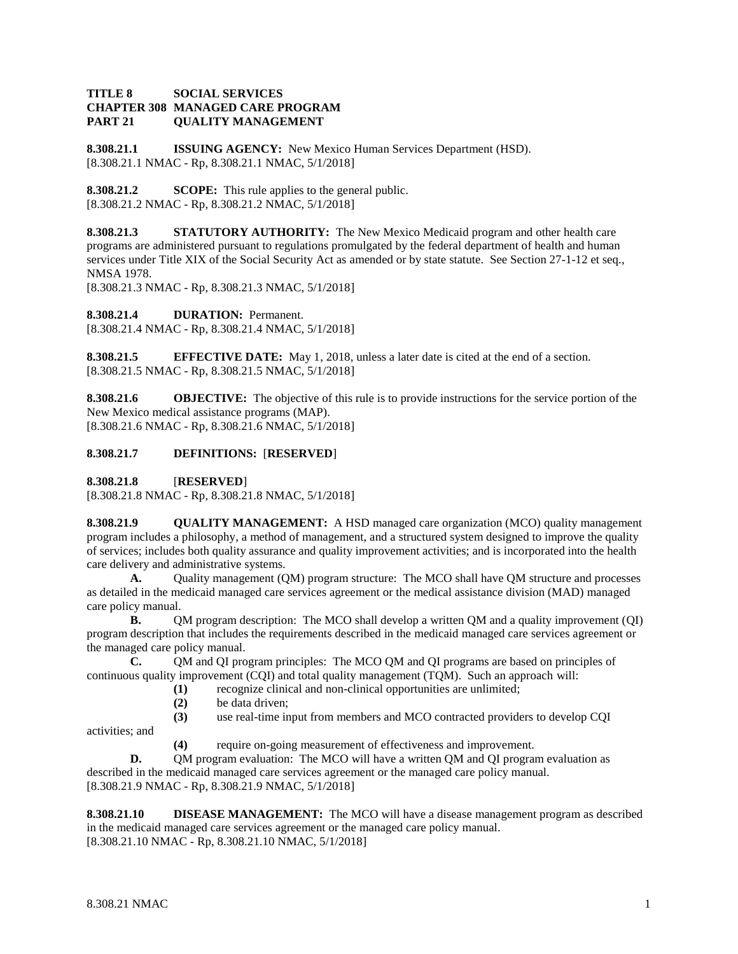#### **TITLE 8 SOCIAL SERVICES CHAPTER 308 MANAGED CARE PROGRAM PART 21 QUALITY MANAGEMENT**

**8.308.21.1 ISSUING AGENCY:** New Mexico Human Services Department (HSD). [8.308.21.1 NMAC - Rp, 8.308.21.1 NMAC, 5/1/2018]

**8.308.21.2 SCOPE:** This rule applies to the general public. [8.308.21.2 NMAC - Rp, 8.308.21.2 NMAC, 5/1/2018]

**8.308.21.3 STATUTORY AUTHORITY:** The New Mexico Medicaid program and other health care programs are administered pursuant to regulations promulgated by the federal department of health and human services under Title XIX of the Social Security Act as amended or by state statute. See Section 27-1-12 et seq., NMSA 1978.

[8.308.21.3 NMAC - Rp, 8.308.21.3 NMAC, 5/1/2018]

**8.308.21.4 DURATION:** Permanent.

[8.308.21.4 NMAC - Rp, 8.308.21.4 NMAC, 5/1/2018]

**8.308.21.5 EFFECTIVE DATE:** May 1, 2018, unless a later date is cited at the end of a section. [8.308.21.5 NMAC - Rp, 8.308.21.5 NMAC, 5/1/2018]

**8.308.21.6 OBJECTIVE:** The objective of this rule is to provide instructions for the service portion of the New Mexico medical assistance programs (MAP). [8.308.21.6 NMAC - Rp, 8.308.21.6 NMAC, 5/1/2018]

### **8.308.21.7 DEFINITIONS:** [**RESERVED**]

**8.308.21.8** [**RESERVED**]

[8.308.21.8 NMAC - Rp, 8.308.21.8 NMAC, 5/1/2018]

**8.308.21.9 QUALITY MANAGEMENT:** A HSD managed care organization (MCO) quality management program includes a philosophy, a method of management, and a structured system designed to improve the quality of services; includes both quality assurance and quality improvement activities; and is incorporated into the health care delivery and administrative systems.

**A.** Quality management (QM) program structure: The MCO shall have QM structure and processes as detailed in the medicaid managed care services agreement or the medical assistance division (MAD) managed care policy manual.

**B.** QM program description: The MCO shall develop a written QM and a quality improvement (QI) program description that includes the requirements described in the medicaid managed care services agreement or the managed care policy manual.

**C.** QM and QI program principles: The MCO QM and QI programs are based on principles of continuous quality improvement (CQI) and total quality management (TQM). Such an approach will:

- **(1)** recognize clinical and non-clinical opportunities are unlimited;
	- **(2)** be data driven;
	- **(3)** use real-time input from members and MCO contracted providers to develop CQI
	- **(4)** require on-going measurement of effectiveness and improvement.

**D.** QM program evaluation: The MCO will have a written QM and QI program evaluation as described in the medicaid managed care services agreement or the managed care policy manual. [8.308.21.9 NMAC - Rp, 8.308.21.9 NMAC, 5/1/2018]

**8.308.21.10 DISEASE MANAGEMENT:** The MCO will have a disease management program as described in the medicaid managed care services agreement or the managed care policy manual. [8.308.21.10 NMAC - Rp, 8.308.21.10 NMAC, 5/1/2018]

activities; and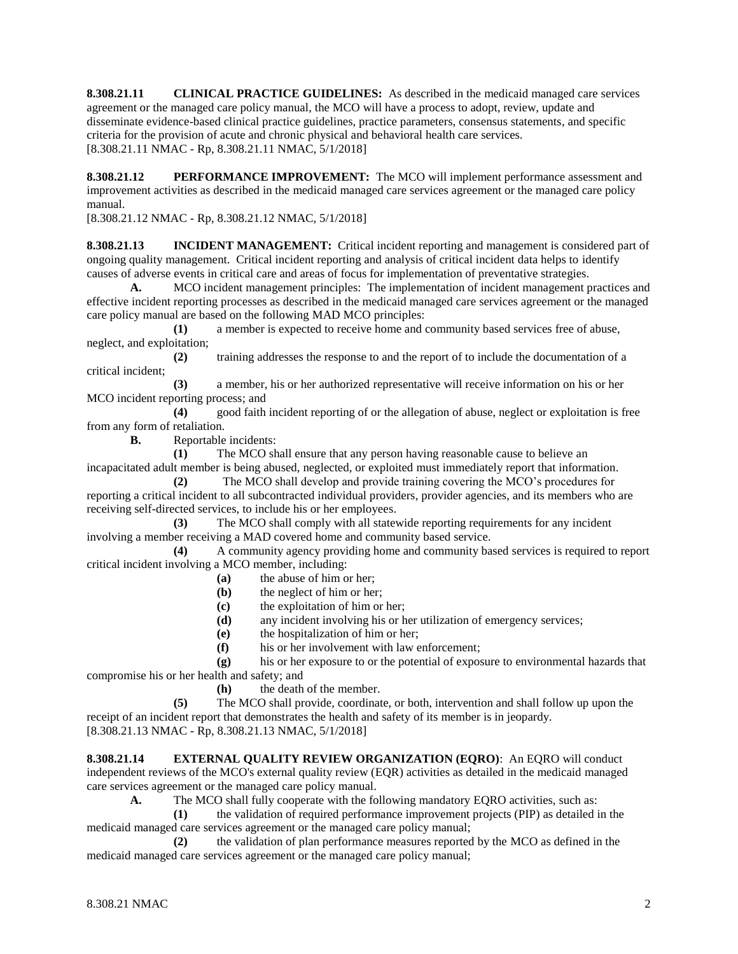**8.308.21.11 CLINICAL PRACTICE GUIDELINES:** As described in the medicaid managed care services agreement or the managed care policy manual, the MCO will have a process to adopt, review, update and disseminate evidence-based clinical practice guidelines, practice parameters, consensus statements, and specific criteria for the provision of acute and chronic physical and behavioral health care services. [8.308.21.11 NMAC - Rp, 8.308.21.11 NMAC, 5/1/2018]

**8.308.21.12 PERFORMANCE IMPROVEMENT:** The MCO will implement performance assessment and improvement activities as described in the medicaid managed care services agreement or the managed care policy manual.

[8.308.21.12 NMAC - Rp, 8.308.21.12 NMAC, 5/1/2018]

**8.308.21.13 INCIDENT MANAGEMENT:** Critical incident reporting and management is considered part of ongoing quality management. Critical incident reporting and analysis of critical incident data helps to identify causes of adverse events in critical care and areas of focus for implementation of preventative strategies.

**A.** MCO incident management principles: The implementation of incident management practices and effective incident reporting processes as described in the medicaid managed care services agreement or the managed care policy manual are based on the following MAD MCO principles:

**(1)** a member is expected to receive home and community based services free of abuse, neglect, and exploitation;

**(2)** training addresses the response to and the report of to include the documentation of a critical incident;

**(3)** a member, his or her authorized representative will receive information on his or her MCO incident reporting process; and

**(4)** good faith incident reporting of or the allegation of abuse, neglect or exploitation is free from any form of retaliation.

**B.** Reportable incidents:

**(1)** The MCO shall ensure that any person having reasonable cause to believe an incapacitated adult member is being abused, neglected, or exploited must immediately report that information.

**(2)** The MCO shall develop and provide training covering the MCO's procedures for reporting a critical incident to all subcontracted individual providers, provider agencies, and its members who are receiving self-directed services, to include his or her employees.

**(3)** The MCO shall comply with all statewide reporting requirements for any incident involving a member receiving a MAD covered home and community based service.

**(4)** A community agency providing home and community based services is required to report critical incident involving a MCO member, including:

- **(a)** the abuse of him or her;
- **(b)** the neglect of him or her;
- **(c)** the exploitation of him or her;
- **(d)** any incident involving his or her utilization of emergency services;
- **(e)** the hospitalization of him or her;
- **(f)** his or her involvement with law enforcement;

**(g)** his or her exposure to or the potential of exposure to environmental hazards that compromise his or her health and safety; and

**(h)** the death of the member.

**(5)** The MCO shall provide, coordinate, or both, intervention and shall follow up upon the receipt of an incident report that demonstrates the health and safety of its member is in jeopardy. [8.308.21.13 NMAC - Rp, 8.308.21.13 NMAC, 5/1/2018]

**8.308.21.14 EXTERNAL QUALITY REVIEW ORGANIZATION (EQRO)**: An EQRO will conduct independent reviews of the MCO's external quality review (EQR) activities as detailed in the medicaid managed care services agreement or the managed care policy manual.

**A.** The MCO shall fully cooperate with the following mandatory EQRO activities, such as:

**(1)** the validation of required performance improvement projects (PIP) as detailed in the medicaid managed care services agreement or the managed care policy manual;

**(2)** the validation of plan performance measures reported by the MCO as defined in the medicaid managed care services agreement or the managed care policy manual;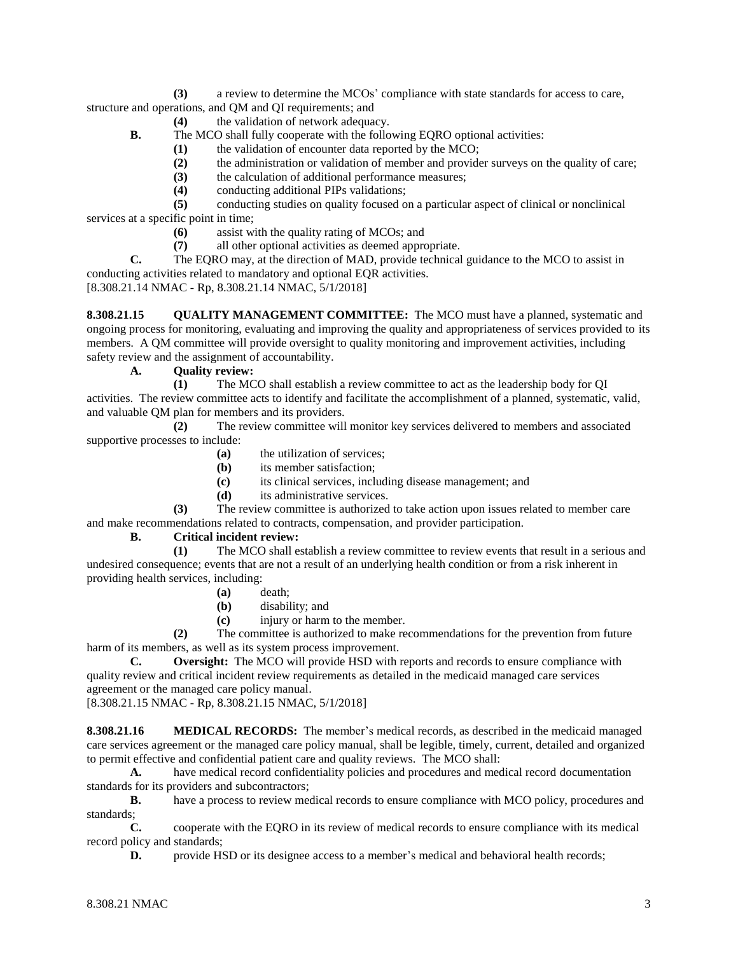**(3)** a review to determine the MCOs' compliance with state standards for access to care, structure and operations, and QM and QI requirements; and

**(4)** the validation of network adequacy.

- **B.** The MCO shall fully cooperate with the following EQRO optional activities:
	- **(1)** the validation of encounter data reported by the MCO;
		- **(2)** the administration or validation of member and provider surveys on the quality of care;
	- **(3)** the calculation of additional performance measures;
	- **(4)** conducting additional PIPs validations;

**(5)** conducting studies on quality focused on a particular aspect of clinical or nonclinical services at a specific point in time;

- **(6)** assist with the quality rating of MCOs; and
- **(7)** all other optional activities as deemed appropriate.

**C.** The EQRO may, at the direction of MAD, provide technical guidance to the MCO to assist in conducting activities related to mandatory and optional EQR activities.

[8.308.21.14 NMAC - Rp, 8.308.21.14 NMAC, 5/1/2018]

**8.308.21.15 QUALITY MANAGEMENT COMMITTEE:** The MCO must have a planned, systematic and ongoing process for monitoring, evaluating and improving the quality and appropriateness of services provided to its members. A QM committee will provide oversight to quality monitoring and improvement activities, including safety review and the assignment of accountability.

### **A. Quality review:**

**(1)** The MCO shall establish a review committee to act as the leadership body for QI activities. The review committee acts to identify and facilitate the accomplishment of a planned, systematic, valid, and valuable QM plan for members and its providers.

**(2)** The review committee will monitor key services delivered to members and associated supportive processes to include:

- **(a)** the utilization of services;
- **(b)** its member satisfaction;
- **(c)** its clinical services, including disease management; and
- **(d)** its administrative services.

**(3)** The review committee is authorized to take action upon issues related to member care and make recommendations related to contracts, compensation, and provider participation.

# **B. Critical incident review:**

**(1)** The MCO shall establish a review committee to review events that result in a serious and undesired consequence; events that are not a result of an underlying health condition or from a risk inherent in providing health services, including:

- **(a)** death;
- **(b)** disability; and
- **(c)** injury or harm to the member.

**(2)** The committee is authorized to make recommendations for the prevention from future harm of its members, as well as its system process improvement.

**C. Oversight:** The MCO will provide HSD with reports and records to ensure compliance with quality review and critical incident review requirements as detailed in the medicaid managed care services agreement or the managed care policy manual.

[8.308.21.15 NMAC - Rp, 8.308.21.15 NMAC, 5/1/2018]

**8.308.21.16 MEDICAL RECORDS:** The member's medical records, as described in the medicaid managed care services agreement or the managed care policy manual, shall be legible, timely, current, detailed and organized to permit effective and confidential patient care and quality reviews. The MCO shall:

**A.** have medical record confidentiality policies and procedures and medical record documentation standards for its providers and subcontractors;

**B.** have a process to review medical records to ensure compliance with MCO policy, procedures and standards;

**C.** cooperate with the EQRO in its review of medical records to ensure compliance with its medical record policy and standards;

**D.** provide HSD or its designee access to a member's medical and behavioral health records;